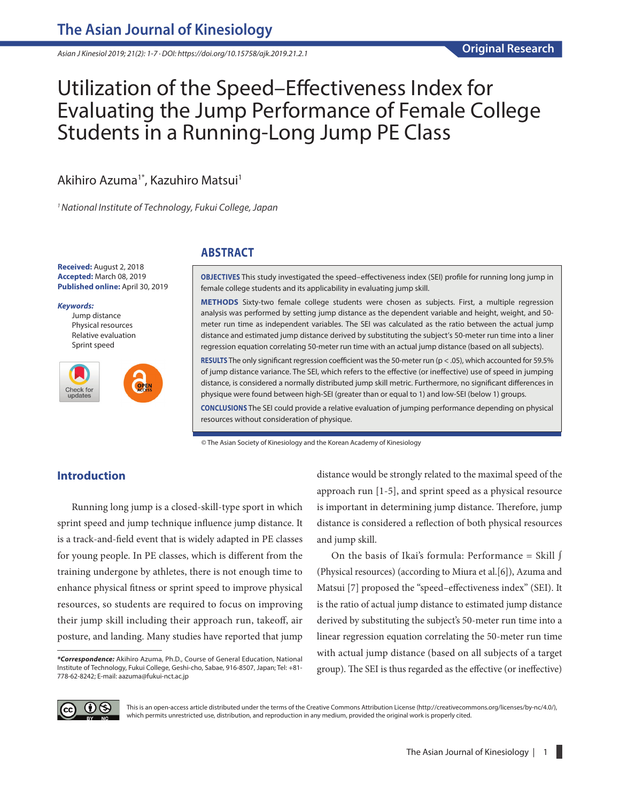*Asian J Kinesiol 2019; 21(2): 1-7 · DOI: https://doi.org/10.15758/ajk.2019.21.2.1*

# Utilization of the Speed–Effectiveness Index for Evaluating the Jump Performance of Female College Students in a Running-Long Jump PE Class

# Akihiro Azuma<sup>1\*</sup>, Kazuhiro Matsui<sup>1</sup>

*<sup>1</sup>National Institute of Technology, Fukui College*, Japan

**Received:** August 2, 2018 **Accepted:** March 08, 2019 **Published online:** April 30, 2019

#### *Keywords:*

Jump distance Physical resources Relative evaluation Sprint speed



## **ABSTRACT**

**OBJECTIVES** This study investigated the speed–effectiveness index (SEI) profile for running long jump in female college students and its applicability in evaluating jump skill.

**METHODS** Sixty-two female college students were chosen as subjects. First, a multiple regression analysis was performed by setting jump distance as the dependent variable and height, weight, and 50 meter run time as independent variables. The SEI was calculated as the ratio between the actual jump distance and estimated jump distance derived by substituting the subject's 50-meter run time into a liner regression equation correlating 50-meter run time with an actual jump distance (based on all subjects).

**RESULTS** The only significant regression coefficient was the 50-meter run (p < .05), which accounted for 59.5% of jump distance variance. The SEI, which refers to the effective (or ineffective) use of speed in jumping distance, is considered a normally distributed jump skill metric. Furthermore, no significant differences in physique were found between high-SEI (greater than or equal to 1) and low-SEI (below 1) groups.

**CONCLUSIONS** The SEI could provide a relative evaluation of jumping performance depending on physical resources without consideration of physique.

© The Asian Society of Kinesiology and the Korean Academy of Kinesiology

# **Introduction**

Running long jump is a closed-skill-type sport in which sprint speed and jump technique influence jump distance. It is a track-and-field event that is widely adapted in PE classes for young people. In PE classes, which is different from the training undergone by athletes, there is not enough time to enhance physical fitness or sprint speed to improve physical resources, so students are required to focus on improving their jump skill including their approach run, takeoff, air posture, and landing. Many studies have reported that jump distance would be strongly related to the maximal speed of the approach run [1-5], and sprint speed as a physical resource is important in determining jump distance. Therefore, jump distance is considered a reflection of both physical resources and jump skill.

On the basis of Ikai's formula: Performance = Skill ∫ (Physical resources) (according to Miura et al.[6]), Azuma and Matsui [7] proposed the "speed–effectiveness index" (SEI). It is the ratio of actual jump distance to estimated jump distance derived by substituting the subject's 50-meter run time into a linear regression equation correlating the 50-meter run time with actual jump distance (based on all subjects of a target group). The SEI is thus regarded as the effective (or ineffective)



This is an open-access article distributed under the terms of the Creative Commons Attribution License (http://creativecommons.org/licenses/by-nc/4.0/), which permits unrestricted use, distribution, and reproduction in any medium, provided the original work is properly cited.

*<sup>\*</sup>Correspondence:* Akihiro Azuma, Ph.D., Course of General Education, National Institute of Technology, Fukui College, Geshi-cho, Sabae, 916-8507, Japan; Tel: +81- 778-62-8242; E-mail: aazuma@fukui-nct.ac.jp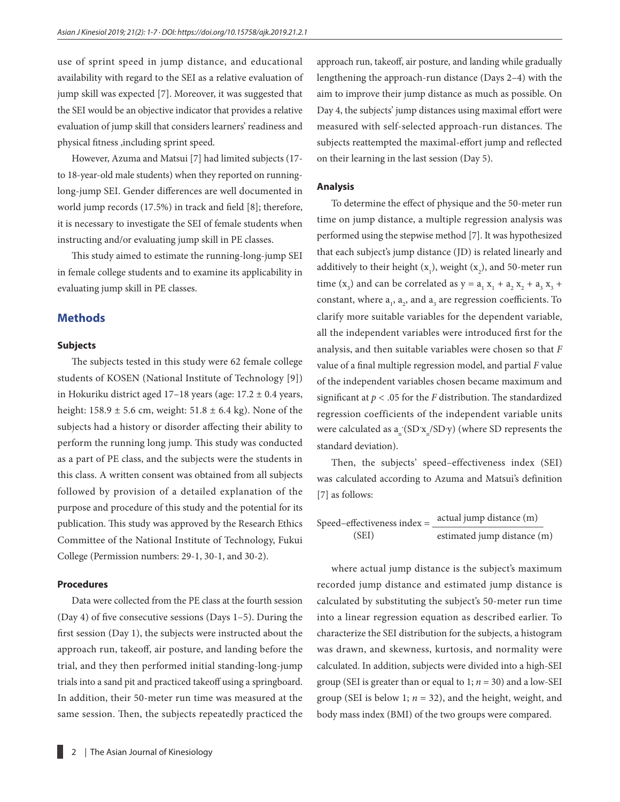use of sprint speed in jump distance, and educational availability with regard to the SEI as a relative evaluation of jump skill was expected [7]. Moreover, it was suggested that the SEI would be an objective indicator that provides a relative evaluation of jump skill that considers learners' readiness and physical fitness ,including sprint speed.

However, Azuma and Matsui [7] had limited subjects (17 to 18-year-old male students) when they reported on runninglong-jump SEI. Gender differences are well documented in world jump records (17.5%) in track and field [8]; therefore, it is necessary to investigate the SEI of female students when instructing and/or evaluating jump skill in PE classes.

This study aimed to estimate the running-long-jump SEI in female college students and to examine its applicability in evaluating jump skill in PE classes.

#### **Methods**

#### **Subjects**

The subjects tested in this study were 62 female college students of KOSEN (National Institute of Technology [9]) in Hokuriku district aged  $17-18$  years (age:  $17.2 \pm 0.4$  years, height:  $158.9 \pm 5.6$  cm, weight:  $51.8 \pm 6.4$  kg). None of the subjects had a history or disorder affecting their ability to perform the running long jump. This study was conducted as a part of PE class, and the subjects were the students in this class. A written consent was obtained from all subjects followed by provision of a detailed explanation of the purpose and procedure of this study and the potential for its publication. This study was approved by the Research Ethics Committee of the National Institute of Technology, Fukui College (Permission numbers: 29-1, 30-1, and 30-2).

#### **Procedures**

Data were collected from the PE class at the fourth session (Day 4) of five consecutive sessions (Days 1–5). During the first session (Day 1), the subjects were instructed about the approach run, takeoff, air posture, and landing before the trial, and they then performed initial standing-long-jump trials into a sand pit and practiced takeoff using a springboard. In addition, their 50-meter run time was measured at the same session. Then, the subjects repeatedly practiced the

approach run, takeoff, air posture, and landing while gradually lengthening the approach-run distance (Days 2–4) with the aim to improve their jump distance as much as possible. On Day 4, the subjects' jump distances using maximal effort were measured with self-selected approach-run distances. The subjects reattempted the maximal-effort jump and reflected on their learning in the last session (Day 5).

#### **Analysis**

To determine the effect of physique and the 50-meter run time on jump distance, a multiple regression analysis was performed using the stepwise method [7]. It was hypothesized that each subject's jump distance (JD) is related linearly and additively to their height  $(x_1)$ , weight  $(x_2)$ , and 50-meter run time (x<sub>3</sub>) and can be correlated as  $y = a_1 x_1 + a_2 x_2 + a_3 x_3 +$ constant, where  $a_1$ ,  $a_2$ , and  $a_3$  are regression coefficients. To clarify more suitable variables for the dependent variable, all the independent variables were introduced first for the analysis, and then suitable variables were chosen so that *F* value of a final multiple regression model, and partial *F* value of the independent variables chosen became maximum and significant at *p <* .05 for the *F* distribution. The standardized regression coefficients of the independent variable units were calculated as  $a_n$  (SD<sup>'</sup>x<sub>n</sub>/SD<sup>'</sup>y) (where SD represents the standard deviation).

Then, the subjects' speed–effectiveness index (SEI) was calculated according to Azuma and Matsui's definition [7] as follows:

Speed–effectiveness index  $=$   $\frac{actual \text{ jump distance (m)}}{1}$ (SEI) estimated jump distance (m)

where actual jump distance is the subject's maximum recorded jump distance and estimated jump distance is calculated by substituting the subject's 50-meter run time into a linear regression equation as described earlier. To characterize the SEI distribution for the subjects, a histogram was drawn, and skewness, kurtosis, and normality were calculated. In addition, subjects were divided into a high-SEI group (SEI is greater than or equal to 1; *n* = 30) and a low-SEI group (SEI is below 1;  $n = 32$ ), and the height, weight, and body mass index (BMI) of the two groups were compared.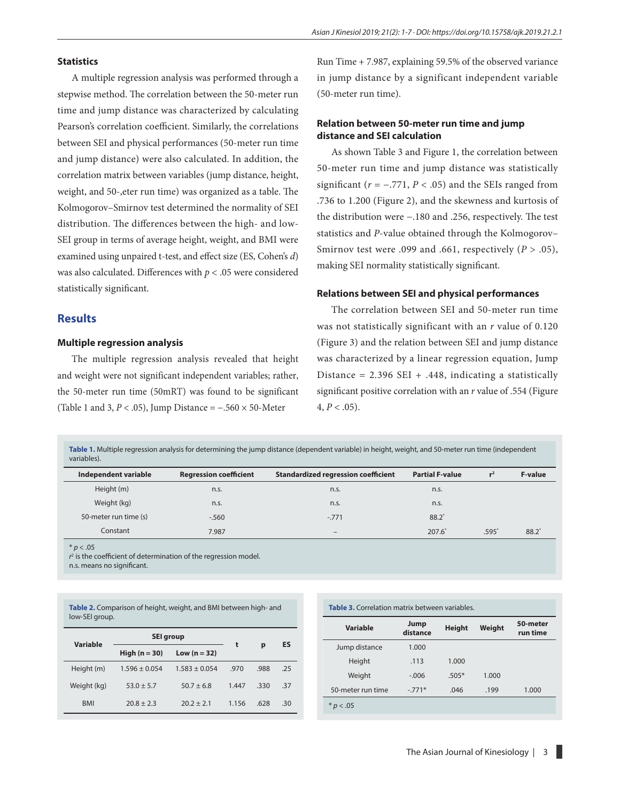#### **Statistics**

A multiple regression analysis was performed through a stepwise method. The correlation between the 50-meter run time and jump distance was characterized by calculating Pearson's correlation coefficient. Similarly, the correlations between SEI and physical performances (50-meter run time and jump distance) were also calculated. In addition, the correlation matrix between variables (jump distance, height, weight, and 50-,eter run time) was organized as a table. The Kolmogorov–Smirnov test determined the normality of SEI distribution. The differences between the high- and low-SEI group in terms of average height, weight, and BMI were examined using unpaired t-test, and effect size (ES, Cohen's *d*) was also calculated. Differences with *p <* .05 were considered statistically significant.

#### **Results**

#### **Multiple regression analysis**

The multiple regression analysis revealed that height and weight were not significant independent variables; rather, the 50-meter run time (50mRT) was found to be significant (Table 1 and 3,  $P < .05$ ), Jump Distance =  $-.560 \times 50$ -Meter

Run Time + 7.987, explaining 59.5% of the observed variance in jump distance by a significant independent variable (50-meter run time).

### **Relation between 50-meter run time and jump distance and SEI calculation**

As shown Table 3 and Figure 1, the correlation between 50-meter run time and jump distance was statistically significant ( $r = -.771$ ,  $P < .05$ ) and the SEIs ranged from .736 to 1.200 (Figure 2), and the skewness and kurtosis of the distribution were −.180 and .256, respectively. The test statistics and *P*-value obtained through the Kolmogorov– Smirnov test were .099 and .661, respectively (*P* > .05), making SEI normality statistically significant.

#### **Relations between SEI and physical performances**

The correlation between SEI and 50-meter run time was not statistically significant with an *r* value of 0.120 (Figure 3) and the relation between SEI and jump distance was characterized by a linear regression equation, Jump Distance =  $2.396$  SEI +  $.448$ , indicating a statistically significant positive correlation with an *r* value of .554 (Figure  $4, P < .05$ ).

**Table 1.** Multiple regression analysis for determining the jump distance (dependent variable) in height, weight, and 50-meter run time (independent variables).

| Independent variable  | <b>Regression coefficient</b> | <b>Standardized regression coefficient</b> | <b>Partial F-value</b> | $r^2$   | <b>F-value</b> |
|-----------------------|-------------------------------|--------------------------------------------|------------------------|---------|----------------|
| Height (m)            | n.s.                          | n.s.                                       | n.s.                   |         |                |
| Weight (kg)           | n.s.                          | n.s.                                       | n.s.                   |         |                |
| 50-meter run time (s) | $-560$                        | $-.771$                                    | $88.2^{*}$             |         |                |
| Constant              | 7.987                         | $\overline{\phantom{a}}$                   | 207.6                  | $.595*$ | 88.2           |

\* *p <* .05

*r* 2 is the coefficient of determination of the regression model.

n.s. means no significant.

| Table 2. Comparison of height, weight, and BMI between high- and<br>low-SEI group. |                   |                   |       |      |     |  |  |  |
|------------------------------------------------------------------------------------|-------------------|-------------------|-------|------|-----|--|--|--|
| Variable                                                                           | SEI group         | t                 |       | ES   |     |  |  |  |
|                                                                                    | High $(n = 30)$   | Low $(n = 32)$    |       | p    |     |  |  |  |
| Height (m)                                                                         | $1.596 \pm 0.054$ | $1.583 \pm 0.054$ | .970  | .988 | .25 |  |  |  |
| Weight (kg)                                                                        | $53.0 \pm 5.7$    | $50.7 \pm 6.8$    | 1.447 | .330 | -37 |  |  |  |
| <b>BMI</b>                                                                         | $20.8 \pm 2.3$    | $20.2 \pm 2.1$    | 1.156 | .628 | .30 |  |  |  |

| Table 3. Correlation matrix between variables. |                  |               |        |                      |  |  |  |
|------------------------------------------------|------------------|---------------|--------|----------------------|--|--|--|
| Variable                                       | Jump<br>distance | <b>Height</b> | Weight | 50-meter<br>run time |  |  |  |
| Jump distance                                  | 1.000            |               |        |                      |  |  |  |
| Height                                         | .113             | 1.000         |        |                      |  |  |  |
| Weight                                         | $-.006$          | $.505*$       | 1.000  |                      |  |  |  |
| 50-meter run time                              | $-.771*$         | .046          | .199   | 1.000                |  |  |  |
| $*$ p $< .05$                                  |                  |               |        |                      |  |  |  |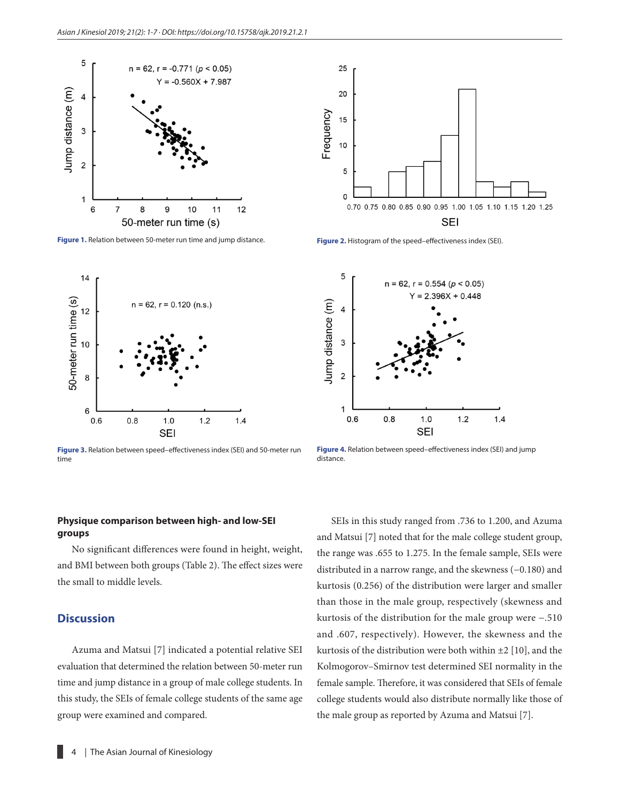

**Figure 1.** Relation between 50-meter run time and jump distance.



**Figure 3.** Relation between speed–effectiveness index (SEI) and 50-meter run time

### **Physique comparison between high- and low-SEI groups**

No significant differences were found in height, weight, and BMI between both groups (Table 2). The effect sizes were the small to middle levels.

## **Discussion**

Azuma and Matsui [7] indicated a potential relative SEI evaluation that determined the relation between 50-meter run time and jump distance in a group of male college students. In this study, the SEIs of female college students of the same age group were examined and compared.



**Figure 2.** Histogram of the speed–effectiveness index (SEI).



**Figure 4.** Relation between speed–effectiveness index (SEI) and jump distance.

SEIs in this study ranged from .736 to 1.200, and Azuma and Matsui [7] noted that for the male college student group, the range was .655 to 1.275. In the female sample, SEIs were distributed in a narrow range, and the skewness (−0.180) and kurtosis (0.256) of the distribution were larger and smaller than those in the male group, respectively (skewness and kurtosis of the distribution for the male group were −.510 and .607, respectively). However, the skewness and the kurtosis of the distribution were both within ±2 [10], and the Kolmogorov–Smirnov test determined SEI normality in the female sample. Therefore, it was considered that SEIs of female college students would also distribute normally like those of the male group as reported by Azuma and Matsui [7].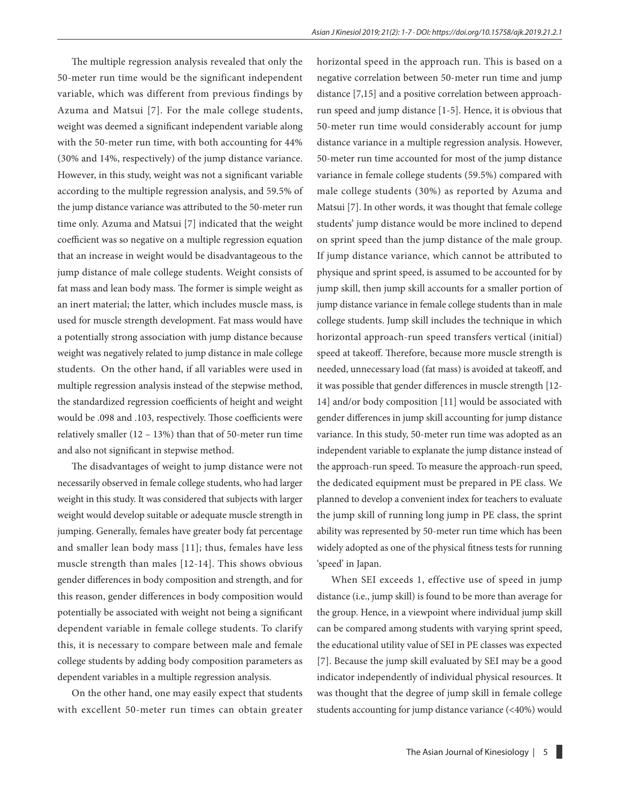The multiple regression analysis revealed that only the 50-meter run time would be the significant independent variable, which was different from previous findings by Azuma and Matsui [7]. For the male college students, weight was deemed a significant independent variable along with the 50-meter run time, with both accounting for 44% (30% and 14%, respectively) of the jump distance variance. However, in this study, weight was not a significant variable according to the multiple regression analysis, and 59.5% of the jump distance variance was attributed to the 50-meter run time only. Azuma and Matsui [7] indicated that the weight coefficient was so negative on a multiple regression equation that an increase in weight would be disadvantageous to the jump distance of male college students. Weight consists of fat mass and lean body mass. The former is simple weight as an inert material; the latter, which includes muscle mass, is used for muscle strength development. Fat mass would have a potentially strong association with jump distance because weight was negatively related to jump distance in male college students. On the other hand, if all variables were used in multiple regression analysis instead of the stepwise method, the standardized regression coefficients of height and weight would be .098 and .103, respectively. Those coefficients were relatively smaller (12 – 13%) than that of 50-meter run time and also not significant in stepwise method.

The disadvantages of weight to jump distance were not necessarily observed in female college students, who had larger weight in this study. It was considered that subjects with larger weight would develop suitable or adequate muscle strength in jumping. Generally, females have greater body fat percentage and smaller lean body mass [11]; thus, females have less muscle strength than males [12-14]. This shows obvious gender differences in body composition and strength, and for this reason, gender differences in body composition would potentially be associated with weight not being a significant dependent variable in female college students. To clarify this, it is necessary to compare between male and female college students by adding body composition parameters as dependent variables in a multiple regression analysis.

On the other hand, one may easily expect that students with excellent 50-meter run times can obtain greater

horizontal speed in the approach run. This is based on a negative correlation between 50-meter run time and jump distance [7,15] and a positive correlation between approachrun speed and jump distance [1-5]. Hence, it is obvious that 50-meter run time would considerably account for jump distance variance in a multiple regression analysis. However, 50-meter run time accounted for most of the jump distance variance in female college students (59.5%) compared with male college students (30%) as reported by Azuma and Matsui [7]. In other words, it was thought that female college students' jump distance would be more inclined to depend on sprint speed than the jump distance of the male group. If jump distance variance, which cannot be attributed to physique and sprint speed, is assumed to be accounted for by jump skill, then jump skill accounts for a smaller portion of jump distance variance in female college students than in male college students. Jump skill includes the technique in which horizontal approach-run speed transfers vertical (initial) speed at takeoff. Therefore, because more muscle strength is needed, unnecessary load (fat mass) is avoided at takeoff, and it was possible that gender differences in muscle strength [12- 14] and/or body composition [11] would be associated with gender differences in jump skill accounting for jump distance variance. In this study, 50-meter run time was adopted as an independent variable to explanate the jump distance instead of the approach-run speed. To measure the approach-run speed, the dedicated equipment must be prepared in PE class. We planned to develop a convenient index for teachers to evaluate the jump skill of running long jump in PE class, the sprint ability was represented by 50-meter run time which has been widely adopted as one of the physical fitness tests for running 'speed' in Japan.

When SEI exceeds 1, effective use of speed in jump distance (i.e., jump skill) is found to be more than average for the group. Hence, in a viewpoint where individual jump skill can be compared among students with varying sprint speed, the educational utility value of SEI in PE classes was expected [7]. Because the jump skill evaluated by SEI may be a good indicator independently of individual physical resources. It was thought that the degree of jump skill in female college students accounting for jump distance variance (<40%) would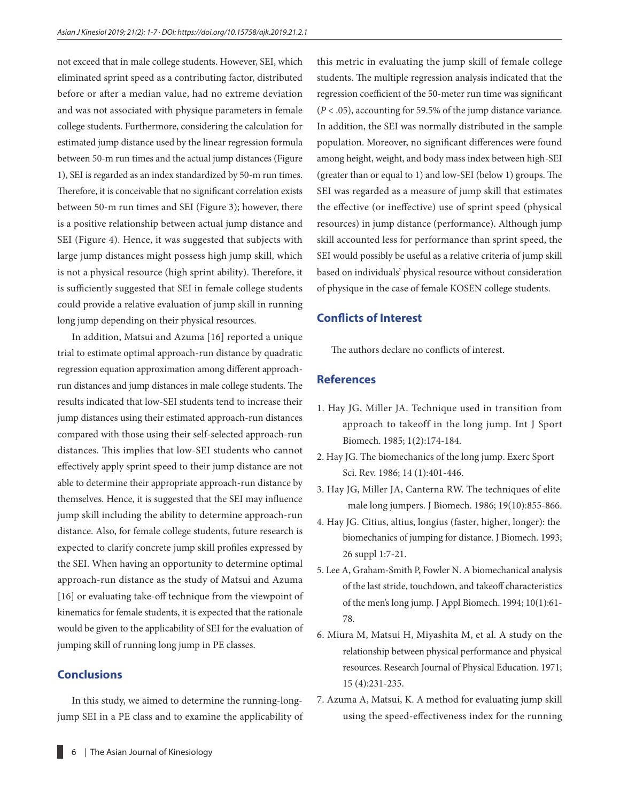not exceed that in male college students. However, SEI, which eliminated sprint speed as a contributing factor, distributed before or after a median value, had no extreme deviation and was not associated with physique parameters in female college students. Furthermore, considering the calculation for estimated jump distance used by the linear regression formula between 50-m run times and the actual jump distances (Figure 1), SEI is regarded as an index standardized by 50-m run times. Therefore, it is conceivable that no significant correlation exists between 50-m run times and SEI (Figure 3); however, there is a positive relationship between actual jump distance and SEI (Figure 4). Hence, it was suggested that subjects with large jump distances might possess high jump skill, which is not a physical resource (high sprint ability). Therefore, it is sufficiently suggested that SEI in female college students could provide a relative evaluation of jump skill in running long jump depending on their physical resources.

In addition, Matsui and Azuma [16] reported a unique trial to estimate optimal approach-run distance by quadratic regression equation approximation among different approachrun distances and jump distances in male college students. The results indicated that low-SEI students tend to increase their jump distances using their estimated approach-run distances compared with those using their self-selected approach-run distances. This implies that low-SEI students who cannot effectively apply sprint speed to their jump distance are not able to determine their appropriate approach-run distance by themselves. Hence, it is suggested that the SEI may influence jump skill including the ability to determine approach-run distance. Also, for female college students, future research is expected to clarify concrete jump skill profiles expressed by the SEI. When having an opportunity to determine optimal approach-run distance as the study of Matsui and Azuma [16] or evaluating take-off technique from the viewpoint of kinematics for female students, it is expected that the rationale would be given to the applicability of SEI for the evaluation of jumping skill of running long jump in PE classes.

# **Conclusions**

In this study, we aimed to determine the running-longjump SEI in a PE class and to examine the applicability of this metric in evaluating the jump skill of female college students. The multiple regression analysis indicated that the regression coefficient of the 50-meter run time was significant (*P* < .05), accounting for 59.5% of the jump distance variance. In addition, the SEI was normally distributed in the sample population. Moreover, no significant differences were found among height, weight, and body mass index between high-SEI (greater than or equal to 1) and low-SEI (below 1) groups. The SEI was regarded as a measure of jump skill that estimates the effective (or ineffective) use of sprint speed (physical resources) in jump distance (performance). Although jump skill accounted less for performance than sprint speed, the SEI would possibly be useful as a relative criteria of jump skill based on individuals' physical resource without consideration of physique in the case of female KOSEN college students.

# **Conflicts of Interest**

The authors declare no conflicts of interest.

#### **References**

- 1. Hay JG, Miller JA. Technique used in transition from approach to takeoff in the long jump. Int J Sport Biomech. 1985; 1(2):174-184.
- 2. Hay JG. The biomechanics of the long jump. Exerc Sport Sci. Rev. 1986; 14 (1):401-446.
- 3. Hay JG, Miller JA, Canterna RW. The techniques of elite male long jumpers. J Biomech. 1986; 19(10):855-866.
- 4. Hay JG. Citius, altius, longius (faster, higher, longer): the biomechanics of jumping for distance. J Biomech. 1993; 26 suppl 1:7-21.
- 5. Lee A, Graham-Smith P, Fowler N. A biomechanical analysis of the last stride, touchdown, and takeoff characteristics of the men's long jump. J Appl Biomech. 1994; 10(1):61- 78.
- 6. Miura M, Matsui H, Miyashita M, et al. A study on the relationship between physical performance and physical resources. Research Journal of Physical Education. 1971; 15 (4):231-235.
- 7. Azuma A, Matsui, K. A method for evaluating jump skill using the speed-effectiveness index for the running